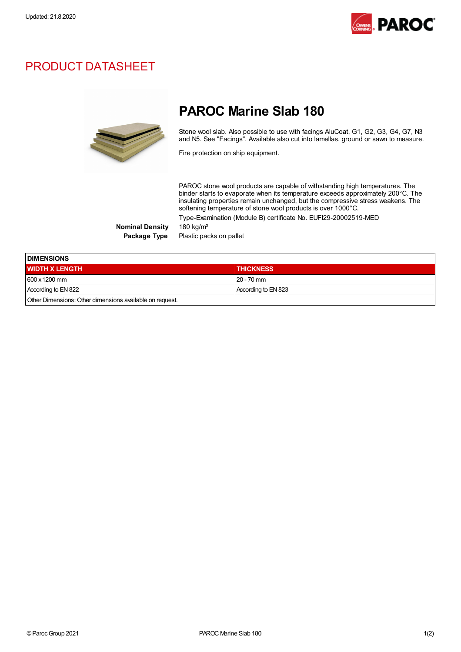

## PRODUCT DATASHEET



## PAROC Marine Slab 180

Stone wool slab. Also possible to use with facings AluCoat, G1, G2, G3, G4, G7, N3 and N5. See "Facings". Available also cut into lamellas, ground or sawn to measure.

Fire protection on ship equipment.

PAROC stone wool products are capable of withstanding high temperatures. The binder starts to evaporate when its temperature exceeds approximately 200°C. The insulating properties remain unchanged, but the compressive stress weakens. The softening temperature of stone wool products is over 1000°C. Type-Examination (Module B) certificate No. EUFI29-20002519-MED

Nominal Density 180 kg/m<sup>3</sup>

Package Type Plastic packs on pallet

| <b>DIMENSIONS</b>     |                     |  |
|-----------------------|---------------------|--|
| <b>WIDTH X LENGTH</b> | <b>THICKNESS</b>    |  |
| 600 x 1200 mm         | $20 - 70$ mm        |  |
| According to EN 822   | According to EN 823 |  |

Other Dimensions:Other dimensions available on request.